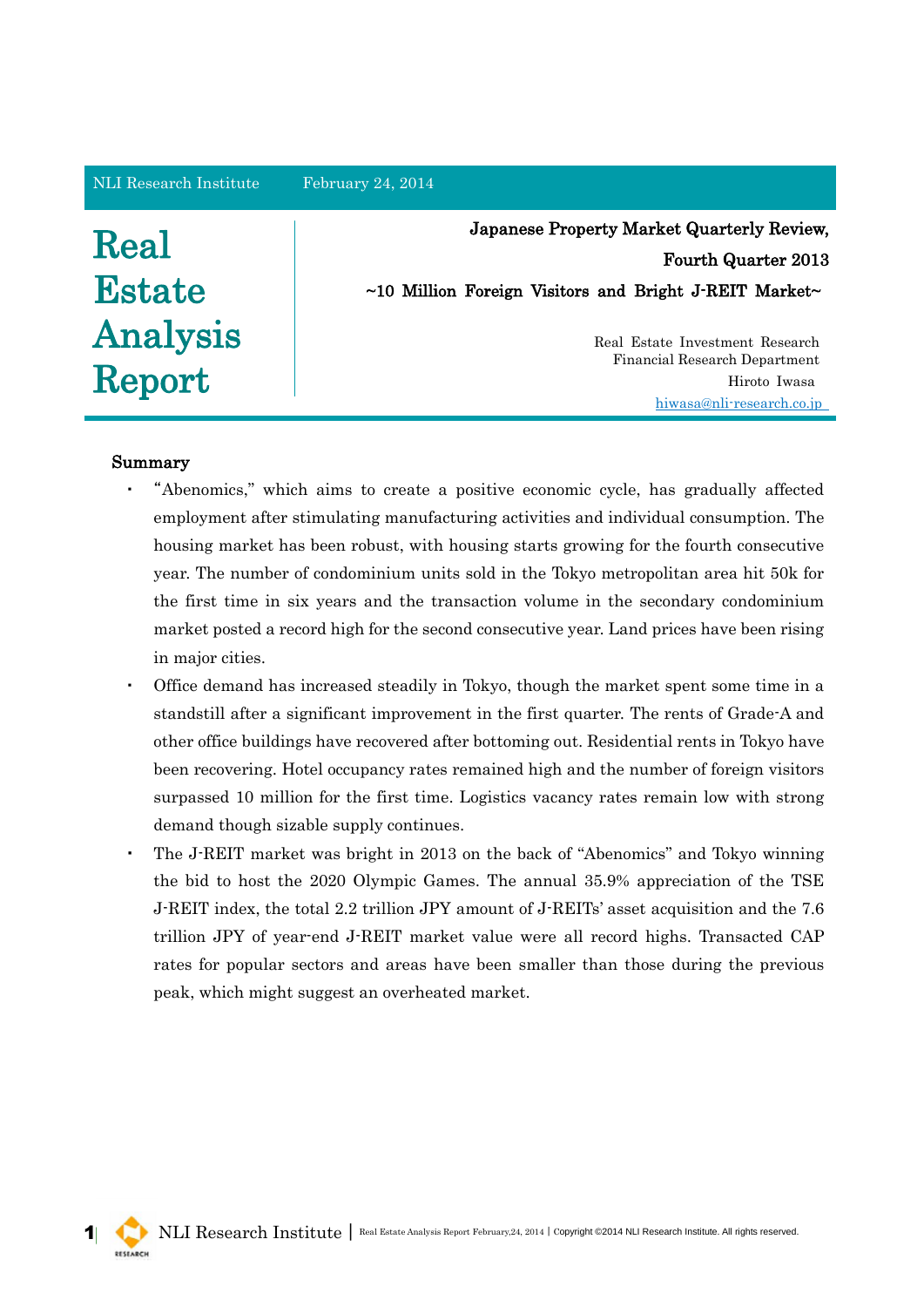#### NLI Research Institute February 24, 2014

# Real **Estate** Analysis Report

Japanese Property Market Quarterly Review, Fourth Quarter 2013  $\sim$ 10 Million Foreign Visitors and Bright J-REIT Market $\sim$ 

> Real Estate Investment Research Financial Research Department Hiroto Iwasa hiwas[a@nli-research.co.jp](mailto:hiwasa@nli-research.co.jp)

# Summary

- ・ "Abenomics," which aims to create a positive economic cycle, has gradually affected employment after stimulating manufacturing activities and individual consumption. The housing market has been robust, with housing starts growing for the fourth consecutive year. The number of condominium units sold in the Tokyo metropolitan area hit 50k for the first time in six years and the transaction volume in the secondary condominium market posted a record high for the second consecutive year. Land prices have been rising in major cities.
- Office demand has increased steadily in Tokyo, though the market spent some time in a standstill after a significant improvement in the first quarter. The rents of Grade-A and other office buildings have recovered after bottoming out. Residential rents in Tokyo have been recovering. Hotel occupancy rates remained high and the number of foreign visitors surpassed 10 million for the first time. Logistics vacancy rates remain low with strong demand though sizable supply continues.
- The J-REIT market was bright in 2013 on the back of "Abenomics" and Tokyo winning the bid to host the 2020 Olympic Games. The annual 35.9% appreciation of the TSE J-REIT index, the total 2.2 trillion JPY amount of J-REITs' asset acquisition and the 7.6 trillion JPY of year-end J-REIT market value were all record highs. Transacted CAP rates for popular sectors and areas have been smaller than those during the previous peak, which might suggest an overheated market.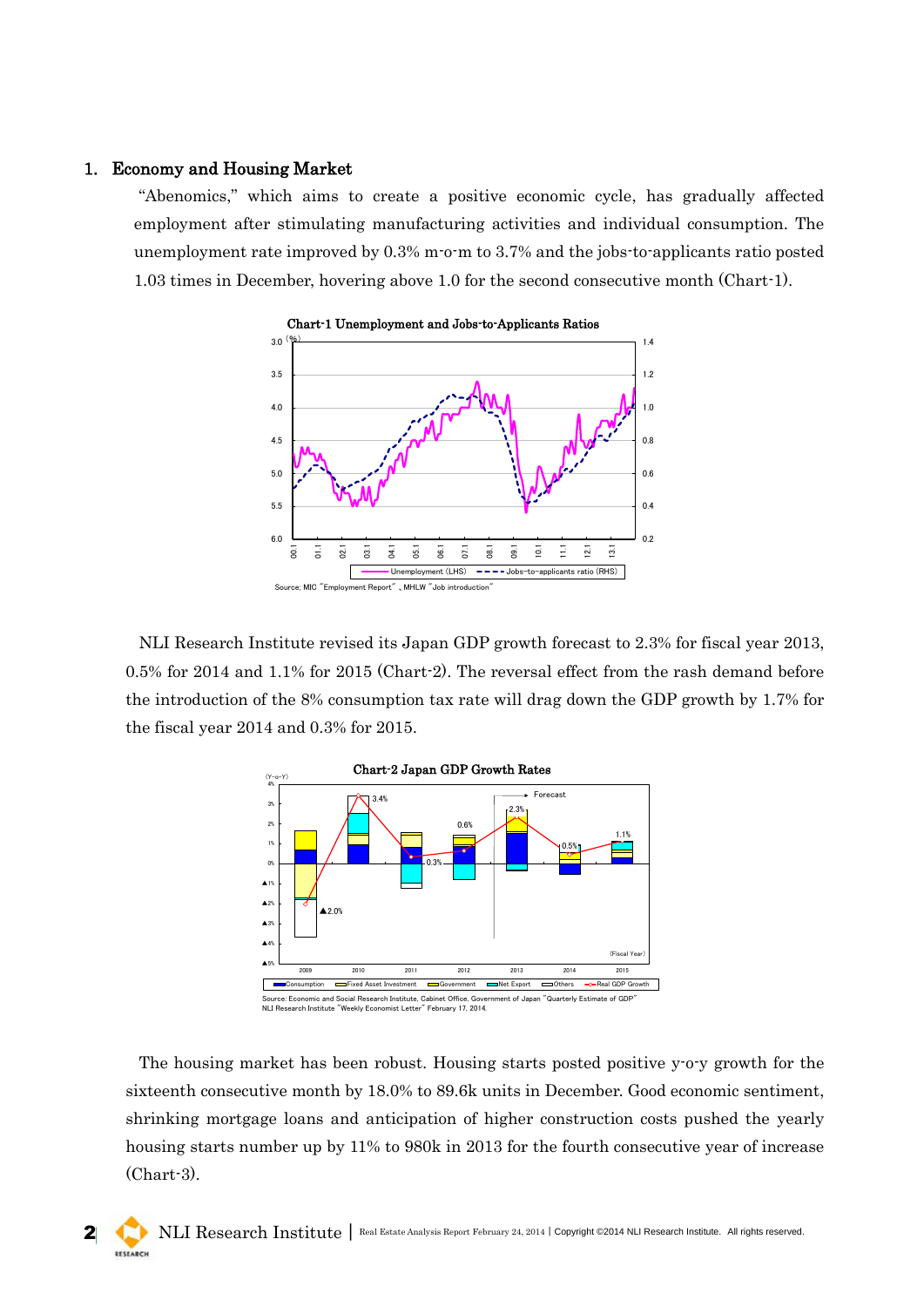## 1. Economy and Housing Market

"Abenomics," which aims to create a positive economic cycle, has gradually affected employment after stimulating manufacturing activities and individual consumption. The unemployment rate improved by 0.3% m-o-m to 3.7% and the jobs-to-applicants ratio posted 1.03 times in December, hovering above 1.0 for the second consecutive month (Chart-1).



NLI Research Institute revised its Japan GDP growth forecast to 2.3% for fiscal year 2013, 0.5% for 2014 and 1.1% for 2015 (Chart-2). The reversal effect from the rash demand before the introduction of the 8% consumption tax rate will drag down the GDP growth by 1.7% for the fiscal year 2014 and 0.3% for 2015.



The housing market has been robust. Housing starts posted positive y-o-y growth for the sixteenth consecutive month by 18.0% to 89.6k units in December. Good economic sentiment, shrinking mortgage loans and anticipation of higher construction costs pushed the yearly housing starts number up by 11% to 980k in 2013 for the fourth consecutive year of increase (Chart-3).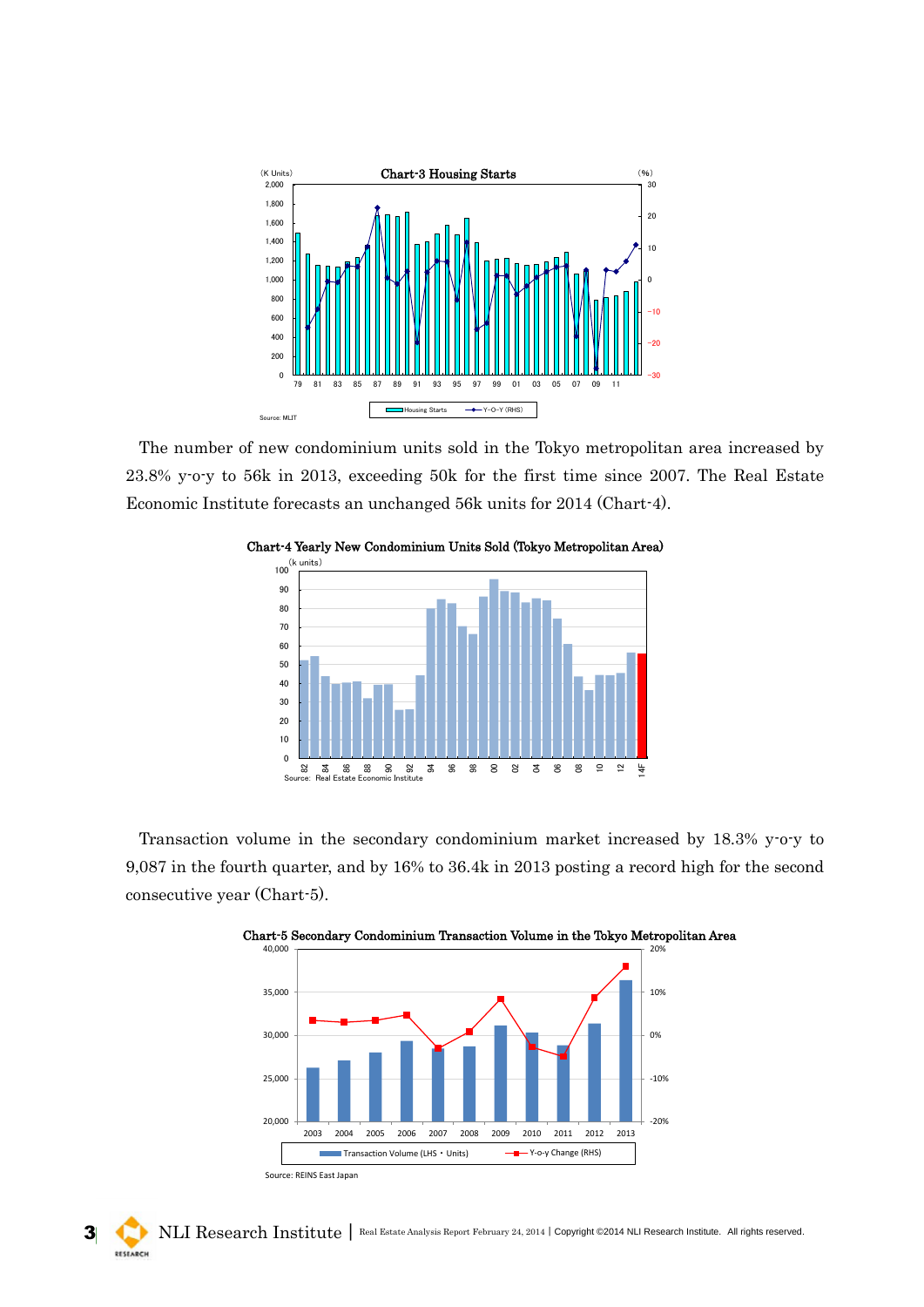

The number of new condominium units sold in the Tokyo metropolitan area increased by 23.8% y-o-y to 56k in 2013, exceeding 50k for the first time since 2007. The Real Estate Economic Institute forecasts an unchanged 56k units for 2014 (Chart-4).



Transaction volume in the secondary condominium market increased by 18.3% y-o-y to 9,087 in the fourth quarter, and by 16% to 36.4k in 2013 posting a record high for the second consecutive year (Chart-5).



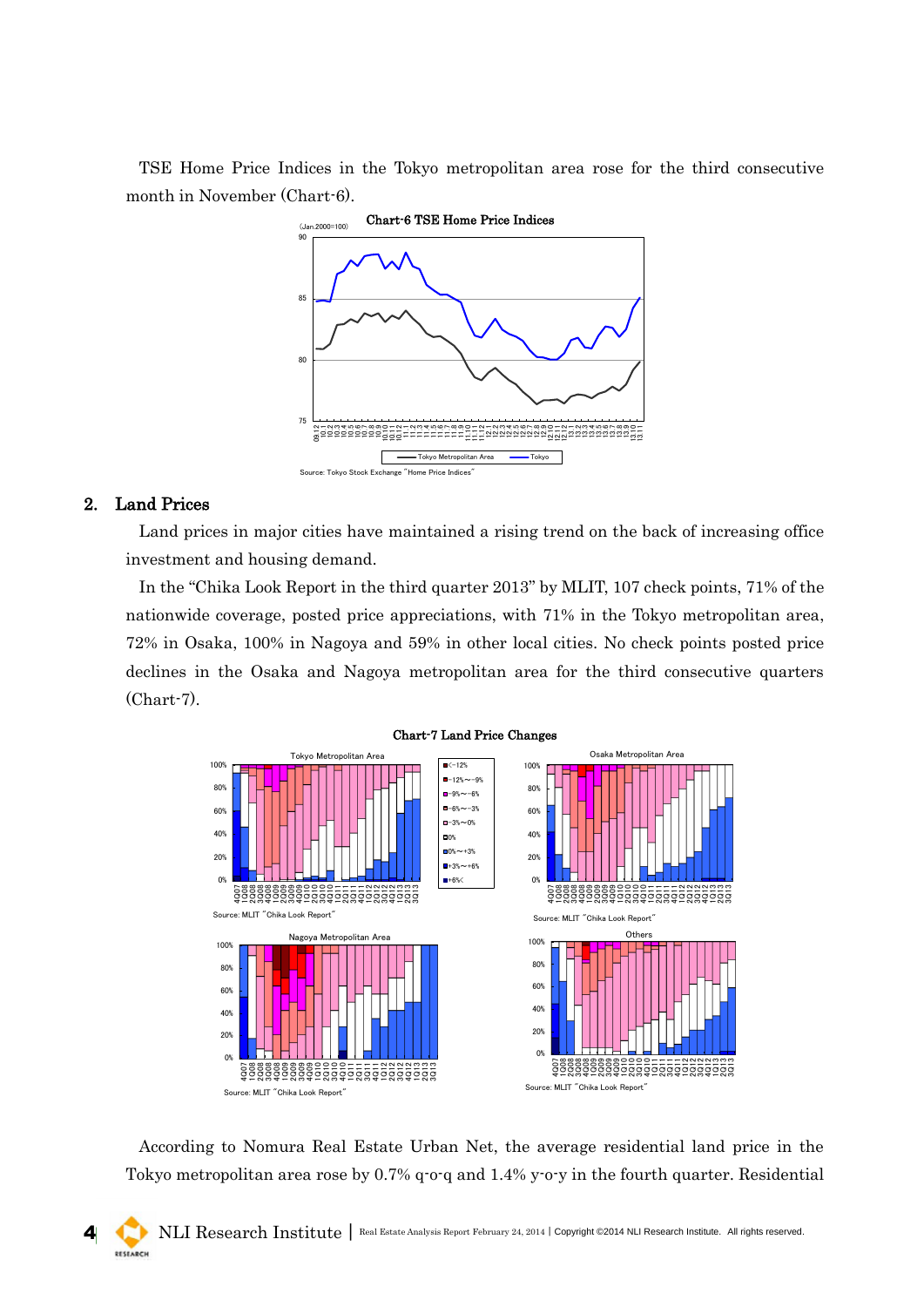TSE Home Price Indices in the Tokyo metropolitan area rose for the third consecutive month in November (Chart-6).



### 2. Land Prices

Land prices in major cities have maintained a rising trend on the back of increasing office investment and housing demand.

In the "Chika Look Report in the third quarter 2013" by MLIT, 107 check points, 71% of the nationwide coverage, posted price appreciations, with 71% in the Tokyo metropolitan area, 72% in Osaka, 100% in Nagoya and 59% in other local cities. No check points posted price declines in the Osaka and Nagoya metropolitan area for the third consecutive quarters (Chart-7).



According to Nomura Real Estate Urban Net, the average residential land price in the Tokyo metropolitan area rose by 0.7% q-o-q and 1.4% y-o-y in the fourth quarter. Residential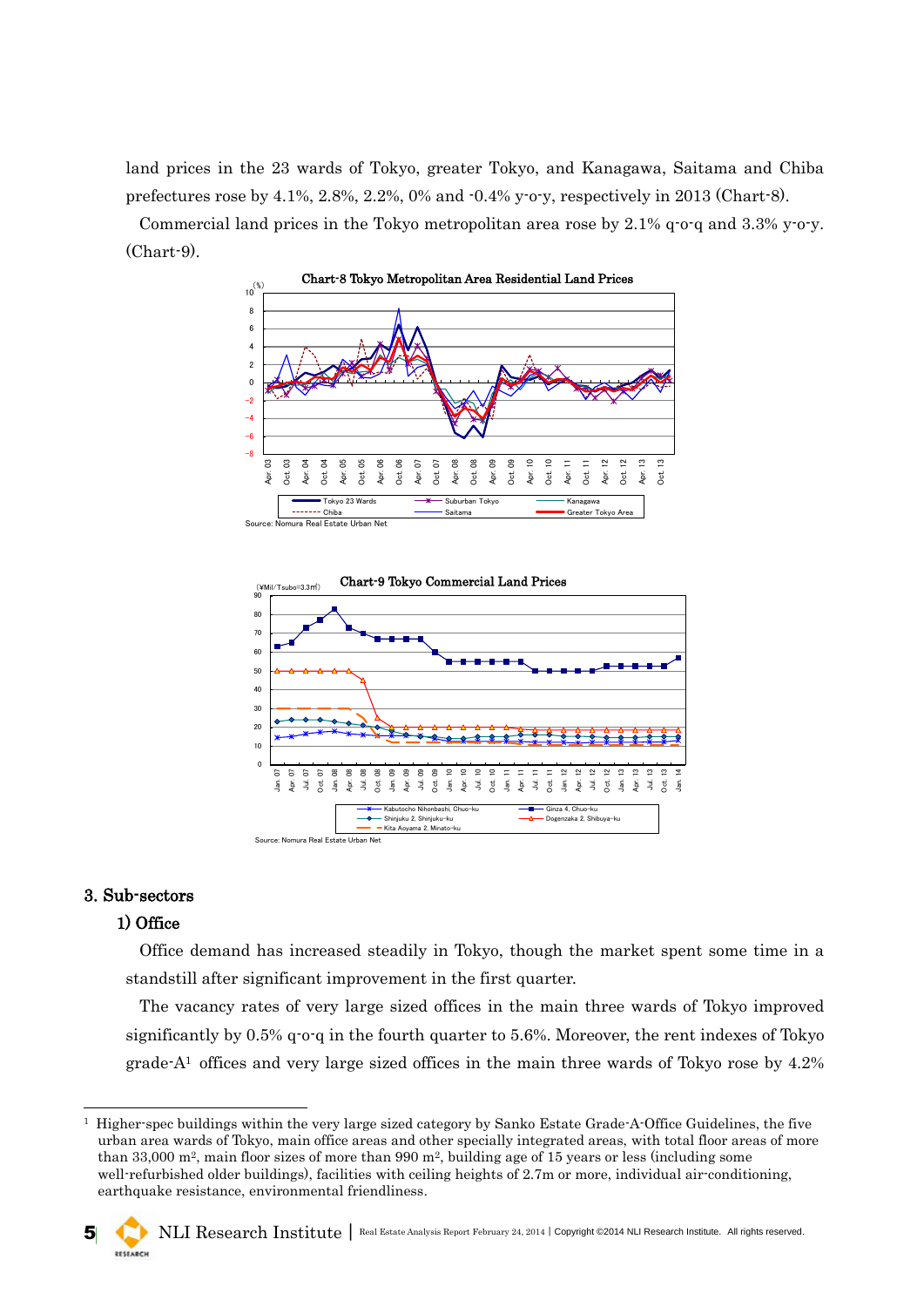land prices in the 23 wards of Tokyo, greater Tokyo, and Kanagawa, Saitama and Chiba prefectures rose by  $4.1\%$ ,  $2.8\%$ ,  $2.2\%$ ,  $0\%$  and  $-0.4\%$  y-o-y, respectively in 2013 (Chart-8).

Commercial land prices in the Tokyo metropolitan area rose by 2.1% q-o-q and 3.3% y-o-y. (Chart-9).





## 3. Sub-sectors

-

# 1) Office

Office demand has increased steadily in Tokyo, though the market spent some time in a standstill after significant improvement in the first quarter.

The vacancy rates of very large sized offices in the main three wards of Tokyo improved significantly by 0.5% q-o-q in the fourth quarter to 5.6%. Moreover, the rent indexes of Tokyo grade- $A<sup>1</sup>$  offices and very large sized offices in the main three wards of Tokyo rose by 4.2%

<sup>1</sup> Higher-spec buildings within the very large sized category by Sanko Estate Grade-A-Office Guidelines, the five urban area wards of Tokyo, main office areas and other specially integrated areas, with total floor areas of more than 33,000 m<sup>2</sup>, main floor sizes of more than 990 m<sup>2</sup>, building age of 15 years or less (including some well-refurbished older buildings), facilities with ceiling heights of 2.7m or more, individual air-conditioning, earthquake resistance, environmental friendliness.

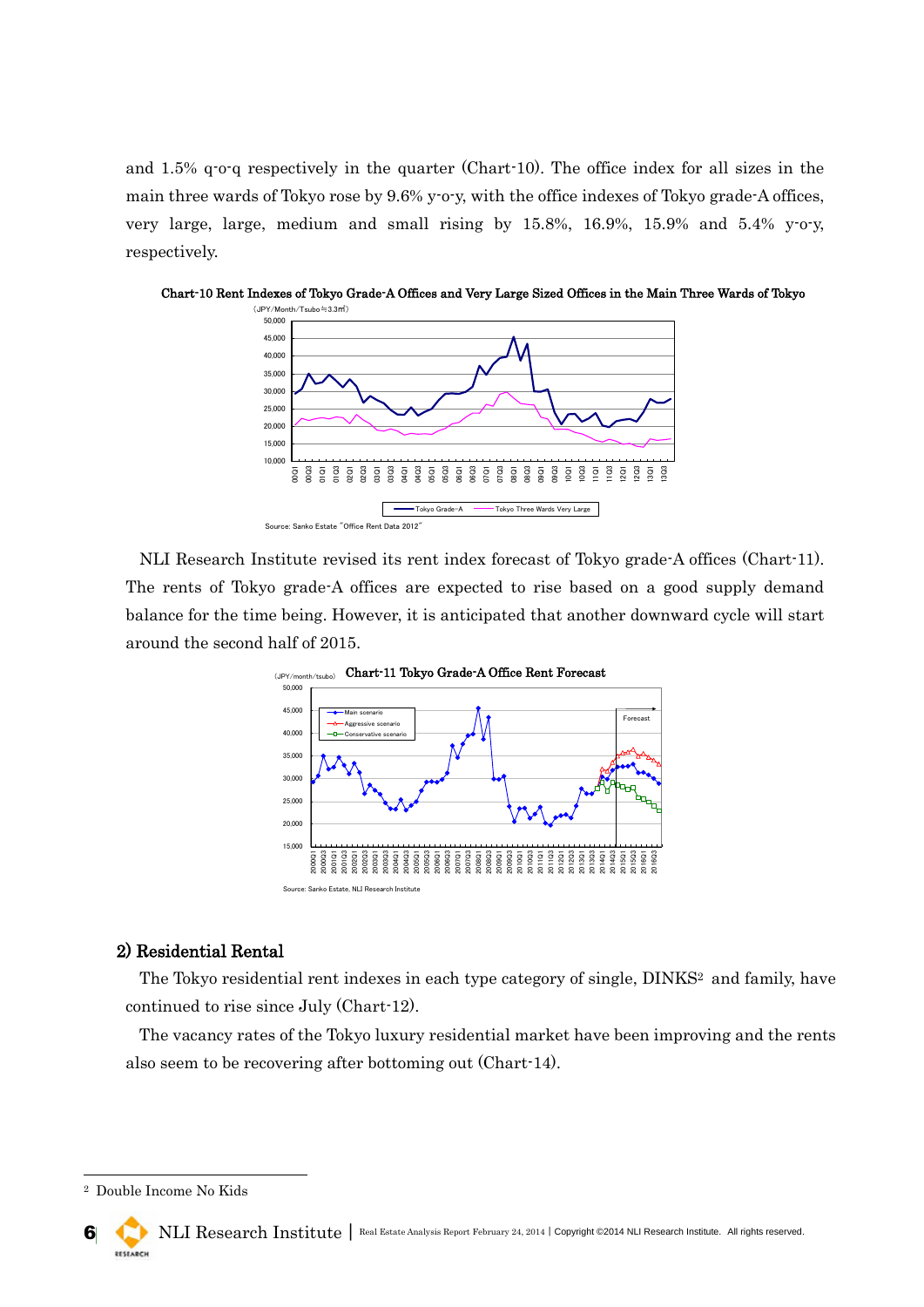and 1.5% q-o-q respectively in the quarter (Chart-10). The office index for all sizes in the main three wards of Tokyo rose by 9.6% y-o-y, with the office indexes of Tokyo grade-A offices, very large, large, medium and small rising by 15.8%, 16.9%, 15.9% and 5.4% y-o-y, respectively.



Chart-10 Rent Indexes of Tokyo Grade-A Offices and Very Large Sized Offices in the Main Three Wards of Tokyo

NLI Research Institute revised its rent index forecast of Tokyo grade-A offices (Chart-11). The rents of Tokyo grade-A offices are expected to rise based on a good supply demand balance for the time being. However, it is anticipated that another downward cycle will start around the second half of 2015.



### 2) Residential Rental

The Tokyo residential rent indexes in each type category of single, DINKS<sup>2</sup> and family, have continued to rise since July (Chart-12).

The vacancy rates of the Tokyo luxury residential market have been improving and the rents also seem to be recovering after bottoming out (Chart-14).

-

<sup>2</sup> Double Income No Kids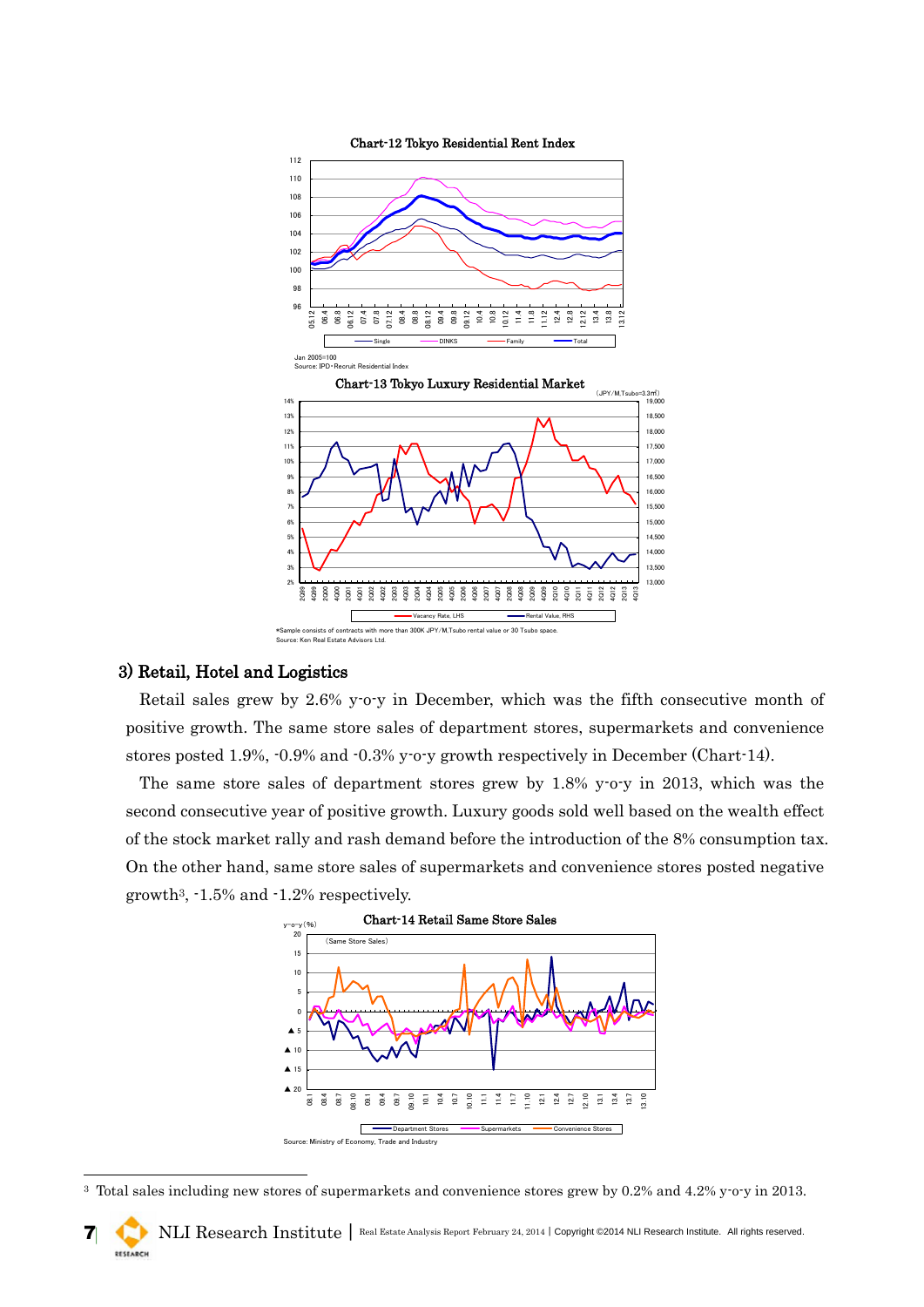

#### 3) Retail, Hotel and Logistics

-

Retail sales grew by 2.6% y-o-y in December, which was the fifth consecutive month of positive growth. The same store sales of department stores, supermarkets and convenience stores posted 1.9%, -0.9% and -0.3% y-o-y growth respectively in December (Chart-14).

The same store sales of department stores grew by 1.8% y-o-y in 2013, which was the second consecutive year of positive growth. Luxury goods sold well based on the wealth effect of the stock market rally and rash demand before the introduction of the 8% consumption tax. On the other hand, same store sales of supermarkets and convenience stores posted negative growth3, -1.5% and -1.2% respectively.



<sup>&</sup>lt;sup>3</sup> Total sales including new stores of supermarkets and convenience stores grew by 0.2% and 4.2% y-o-y in 2013.

7 NLI Research Institute | Real Estate Analysis Report February 24, 2014 | Copyright ©2014 NLI Research Institute. All rights reserved. RESEARCH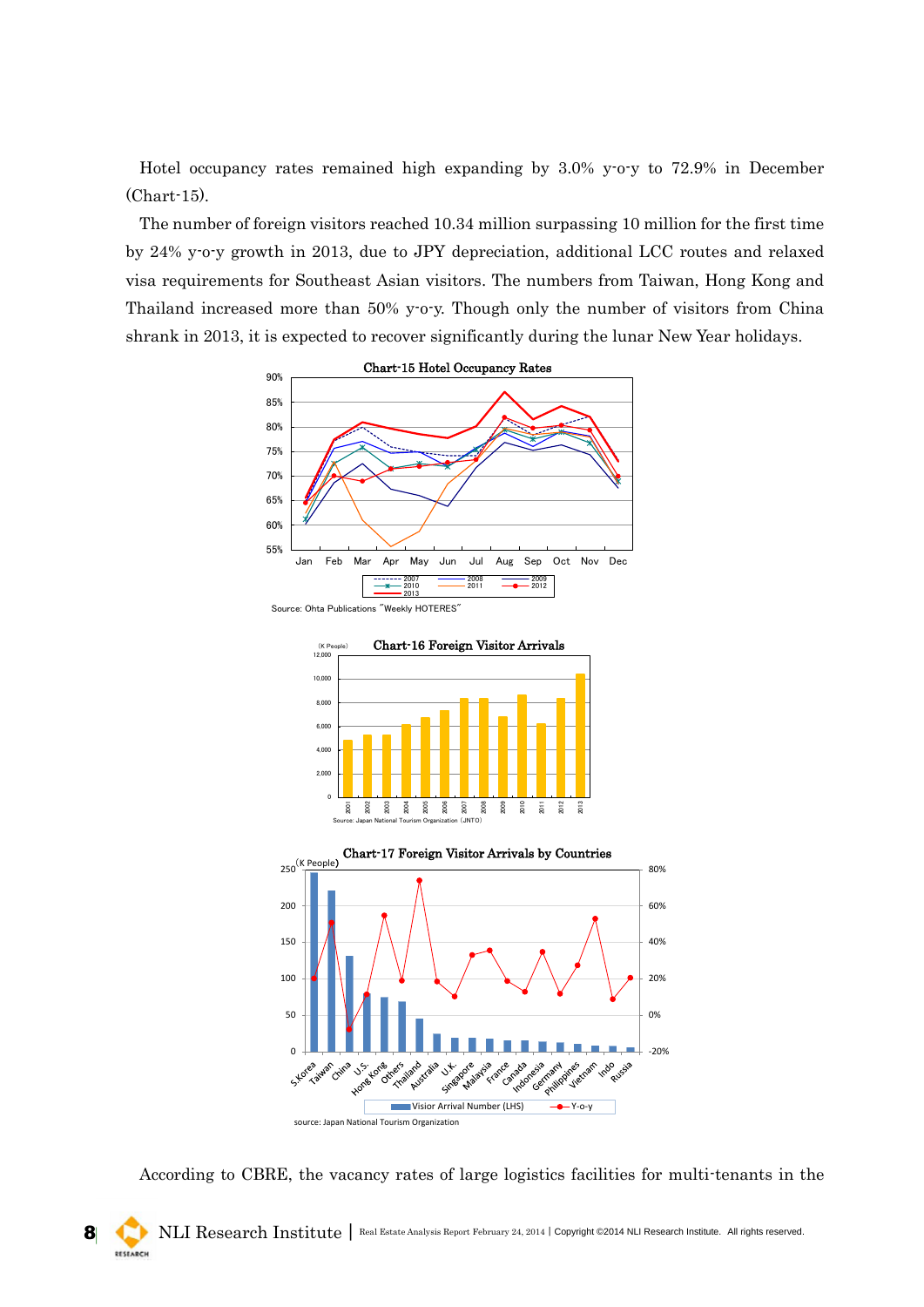Hotel occupancy rates remained high expanding by 3.0% y-o-y to 72.9% in December (Chart-15).

The number of foreign visitors reached 10.34 million surpassing 10 million for the first time by 24% y-o-y growth in 2013, due to JPY depreciation, additional LCC routes and relaxed visa requirements for Southeast Asian visitors. The numbers from Taiwan, Hong Kong and Thailand increased more than 50% y-o-y. Though only the number of visitors from China shrank in 2013, it is expected to recover significantly during the lunar New Year holidays.



Source: Ohta Publications "Weekly HOTERES"





According to CBRE, the vacancy rates of large logistics facilities for multi-tenants in the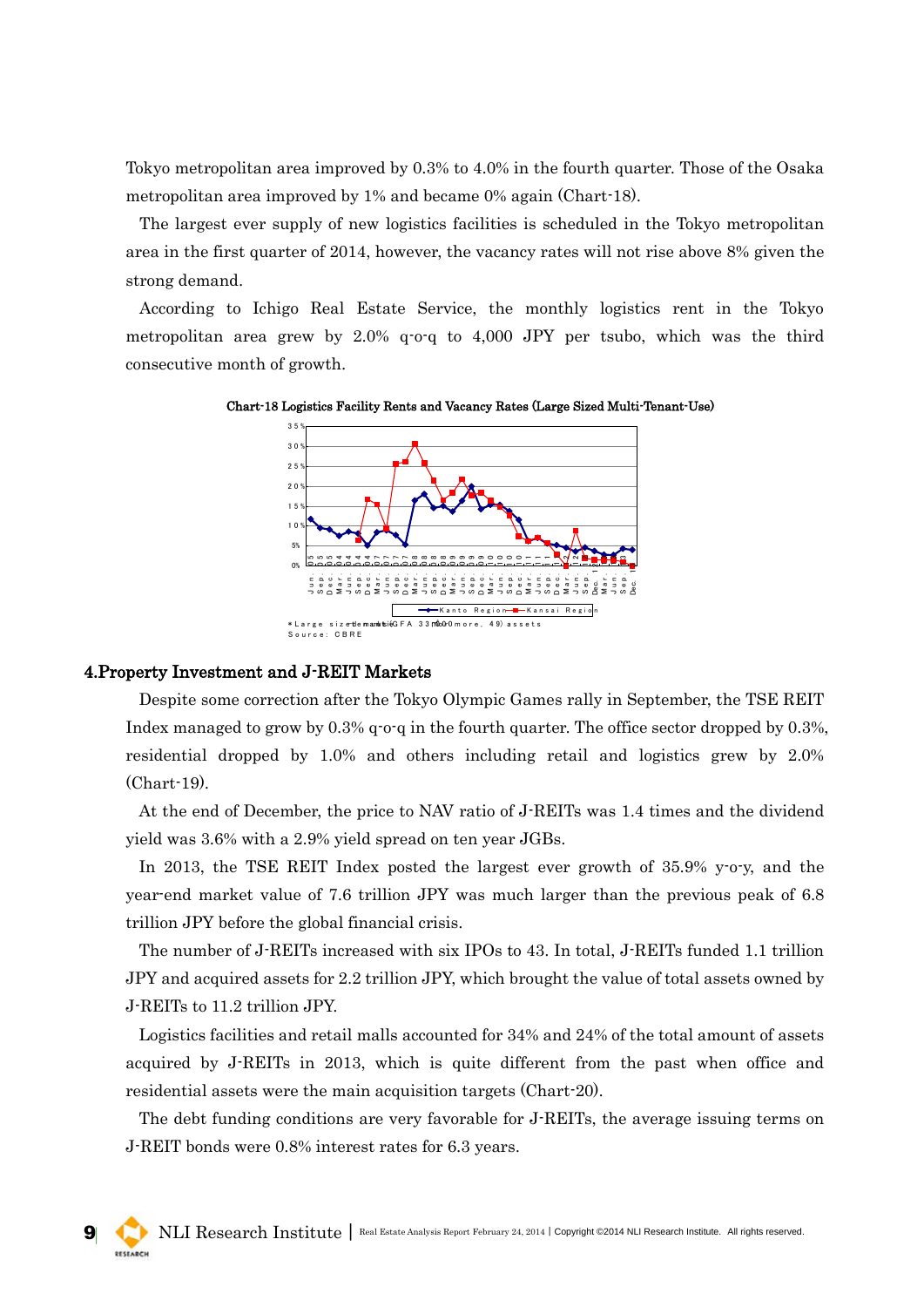Tokyo metropolitan area improved by 0.3% to 4.0% in the fourth quarter. Those of the Osaka metropolitan area improved by 1% and became 0% again (Chart-18).

The largest ever supply of new logistics facilities is scheduled in the Tokyo metropolitan area in the first quarter of 2014, however, the vacancy rates will not rise above 8% given the strong demand.

According to Ichigo Real Estate Service, the monthly logistics rent in the Tokyo metropolitan area grew by 2.0% q-o-q to 4,000 JPY per tsubo, which was the third consecutive month of growth.





#### 4.Property Investment and J-REIT Markets

Despite some correction after the Tokyo Olympic Games rally in September, the TSE REIT Index managed to grow by 0.3% q-o-q in the fourth quarter. The office sector dropped by 0.3%, residential dropped by 1.0% and others including retail and logistics grew by 2.0% (Chart-19).

At the end of December, the price to NAV ratio of J-REITs was 1.4 times and the dividend yield was 3.6% with a 2.9% yield spread on ten year JGBs.

In 2013, the TSE REIT Index posted the largest ever growth of 35.9% y-o-y, and the year-end market value of 7.6 trillion JPY was much larger than the previous peak of 6.8 trillion JPY before the global financial crisis.

The number of J-REITs increased with six IPOs to 43. In total, J-REITs funded 1.1 trillion JPY and acquired assets for 2.2 trillion JPY, which brought the value of total assets owned by J-REITs to 11.2 trillion JPY.

Logistics facilities and retail malls accounted for 34% and 24% of the total amount of assets acquired by J-REITs in 2013, which is quite different from the past when office and residential assets were the main acquisition targets (Chart-20).

The debt funding conditions are very favorable for J-REITs, the average issuing terms on J-REIT bonds were 0.8% interest rates for 6.3 years.